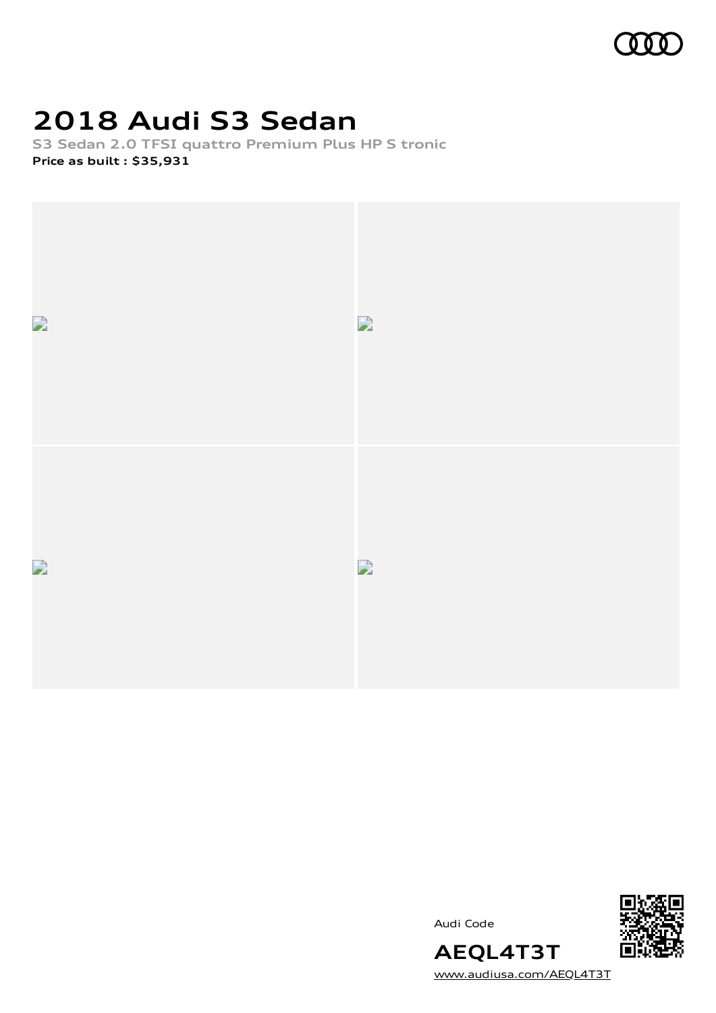

## **2018 Audi S3 Sedan**

**S3 Sedan 2.0 TFSI quattro Premium Plus HP S tronic Price as built [:](#page-11-0) \$35,931**



Audi Code



[www.audiusa.com/AEQL4T3T](https://www.audiusa.com/AEQL4T3T)

**AEQL4T3T**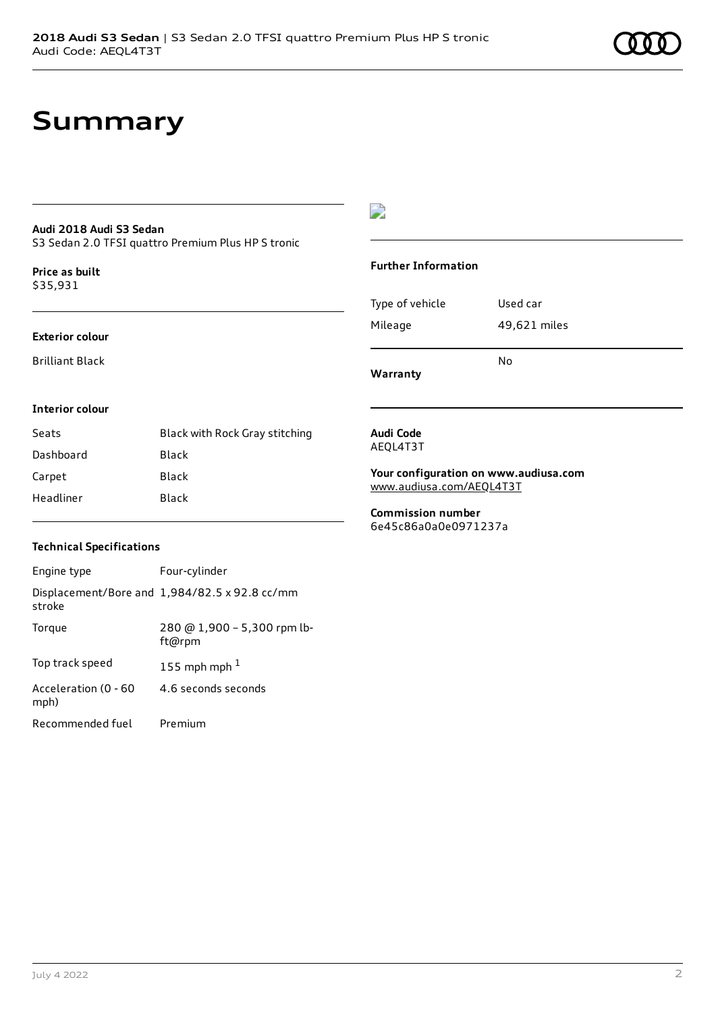### **Audi 2018 Audi S3 Sedan**

S3 Sedan 2.0 TFSI quattro Premium Plus HP S tronic

**Price as buil[t](#page-11-0)** \$35,931

#### **Exterior colour**

Brilliant Black

## $\overline{\phantom{a}}$

#### **Further Information**

|                 | N٥           |
|-----------------|--------------|
| Mileage         | 49,621 miles |
| Type of vehicle | Used car     |

**Warranty**

### **Interior colour**

| Seats     | Black with Rock Gray stitching |
|-----------|--------------------------------|
| Dashboard | Black                          |
| Carpet    | Black                          |
| Headliner | Black                          |

#### **Audi Code** AEQL4T3T

**Your configuration on www.audiusa.com** [www.audiusa.com/AEQL4T3T](https://www.audiusa.com/AEQL4T3T)

**Commission number** 6e45c86a0a0e0971237a

### **Technical Specifications**

| Engine type                  | Four-cylinder                                 |
|------------------------------|-----------------------------------------------|
| stroke                       | Displacement/Bore and 1,984/82.5 x 92.8 cc/mm |
| Torque                       | 280 @ 1,900 - 5,300 rpm lb-<br>ft@rpm         |
| Top track speed              | 155 mph mph $1$                               |
| Acceleration (0 - 60<br>mph) | 4.6 seconds seconds                           |
| Recommended fuel             | Premium                                       |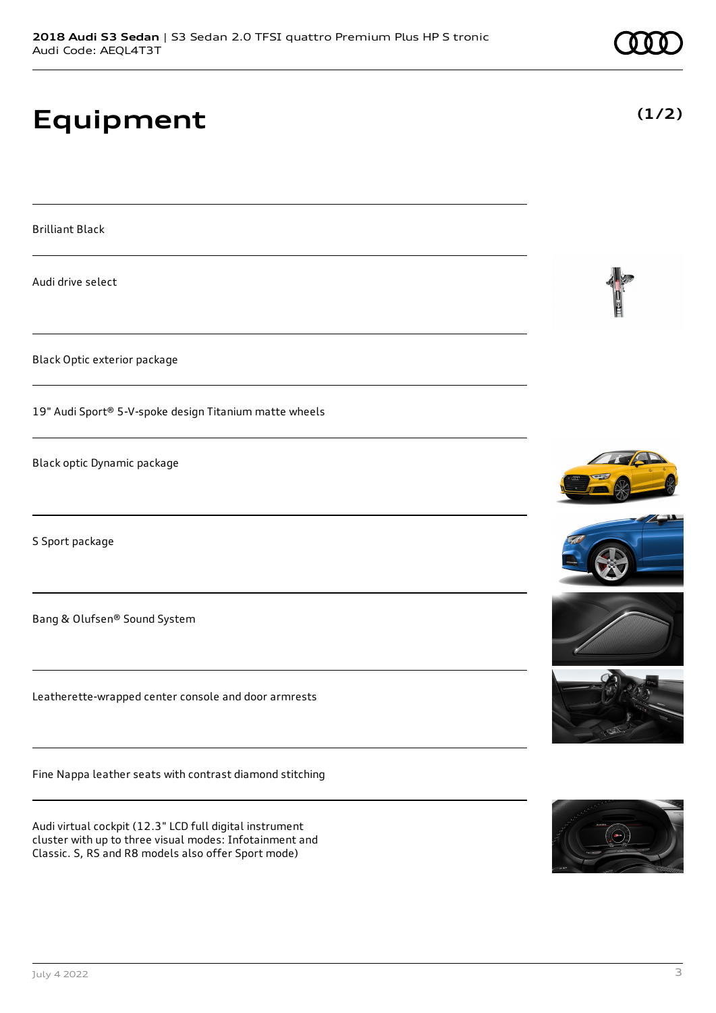## **Equipment**

Brilliant Black

Audi drive select

Black Optic exterior package

19" Audi Sport® 5-V-spoke design Titanium matte wheels

Black optic Dynamic package

S Sport package

Bang & Olufsen® Sound System

Leatherette-wrapped center console and door armrests

Fine Nappa leather seats with contrast diamond stitching

Audi virtual cockpit (12.3" LCD full digital instrument cluster with up to three visual modes: Infotainment and Classic. S, RS and R8 models also offer Sport mode)











**(1/2)**

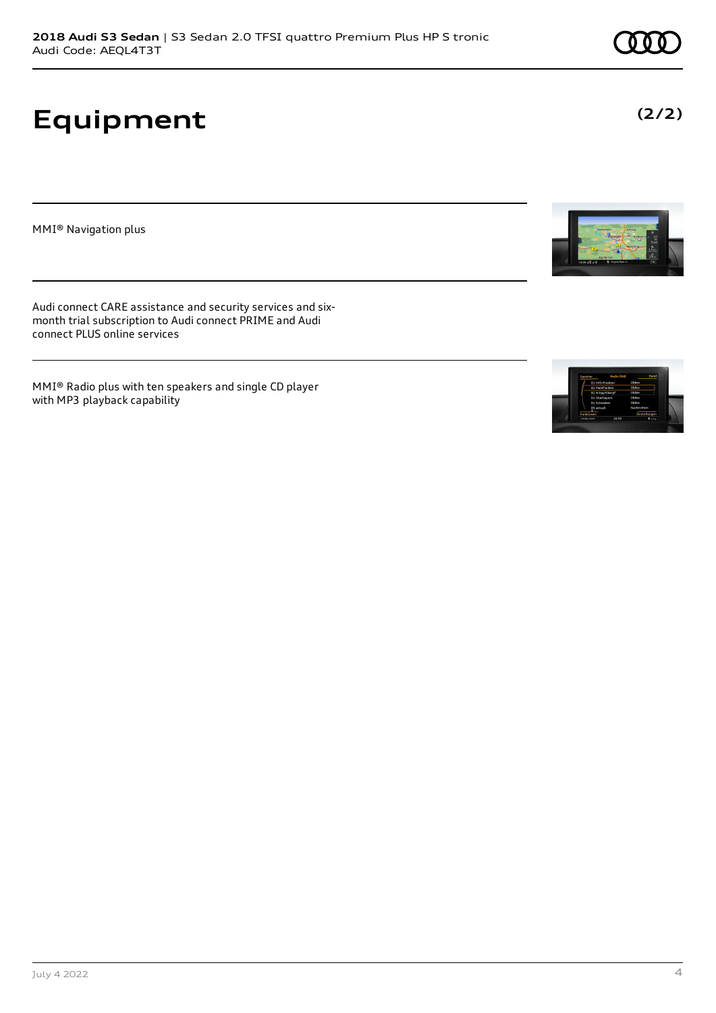# **Equipment**

MMI® Navigation plus

Audi connect CARE assistance and security services and sixmonth trial subscription to Audi connect PRIME and Audi connect PLUS online services

MMI® Radio plus with ten speakers and single CD player with MP3 playback capability







**(2/2)**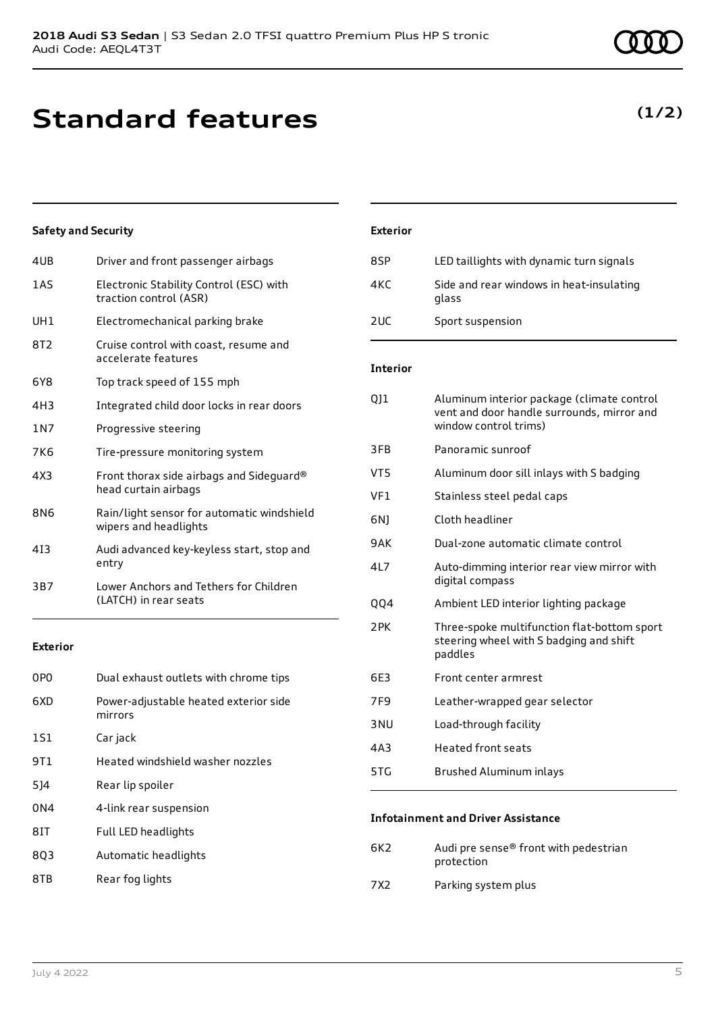## **Standard features**

## **Safety and Security**

| 4UB   | Driver and front passenger airbags                                  |
|-------|---------------------------------------------------------------------|
| 1AS   | Electronic Stability Control (ESC) with<br>traction control (ASR)   |
| UH1   | Electromechanical parking brake                                     |
| 8T2   | Cruise control with coast, resume and<br>accelerate features        |
| 6Y8   | Top track speed of 155 mph                                          |
| 4H3   | Integrated child door locks in rear doors                           |
| 1 N 7 | Progressive steering                                                |
| 7K6   | Tire-pressure monitoring system                                     |
| 4X3   | Front thorax side airbags and Sideguard®<br>head curtain airbags    |
| 8N6   | Rain/light sensor for automatic windshield<br>wipers and headlights |
| 413   | Audi advanced key-keyless start, stop and<br>entry                  |
| 3B7   | Lower Anchors and Tethers for Children<br>(LATCH) in rear seats     |
|       |                                                                     |

### **Exterior**

| 0PO | Dual exhaust outlets with chrome tips            |
|-----|--------------------------------------------------|
| 6XD | Power-adjustable heated exterior side<br>mirrors |
| 1S1 | Car jack                                         |
| 9T1 | Heated windshield washer nozzles                 |
| 514 | Rear lip spoiler                                 |
| 0N4 | 4-link rear suspension                           |
| 81T | Full LED headlights                              |
| 803 | Automatic headlights                             |
|     |                                                  |

8TB Rear fog lights

# **Exterior** 8SP LED taillights with dynamic turn signals

| 85P | LED taillights with dynamic turn signals          |
|-----|---------------------------------------------------|
| 4KC | Side and rear windows in heat-insulating<br>glass |
| 2UC | Sport suspension                                  |

### **Interior**

| 011             | Aluminum interior package (climate control<br>vent and door handle surrounds, mirror and<br>window control trims) |
|-----------------|-------------------------------------------------------------------------------------------------------------------|
| 3FB             | Panoramic sunroof                                                                                                 |
| VT <sub>5</sub> | Aluminum door sill inlays with S badging                                                                          |
| VF1             | Stainless steel pedal caps                                                                                        |
| 6N)             | Cloth headliner                                                                                                   |
| 9AK             | Dual-zone automatic climate control                                                                               |
| 417             | Auto-dimming interior rear view mirror with<br>digital compass                                                    |
| <b>QQ4</b>      | Ambient LED interior lighting package                                                                             |
| 2 PK            | Three-spoke multifunction flat-bottom sport<br>steering wheel with S badging and shift<br>paddles                 |
| 6E3             | Front center armrest                                                                                              |
| 7F9             | Leather-wrapped gear selector                                                                                     |
| 3 <sub>NU</sub> | Load-through facility                                                                                             |
| 4A3             | <b>Heated front seats</b>                                                                                         |
| 5TG             | Brushed Aluminum inlays                                                                                           |
|                 |                                                                                                                   |

### **Infotainment and Driver Assistance**

| 6K2 | Audi pre sense <sup>®</sup> front with pedestrian |
|-----|---------------------------------------------------|
|     | protection                                        |
|     |                                                   |

7X2 Parking system plus

## **(1/2)**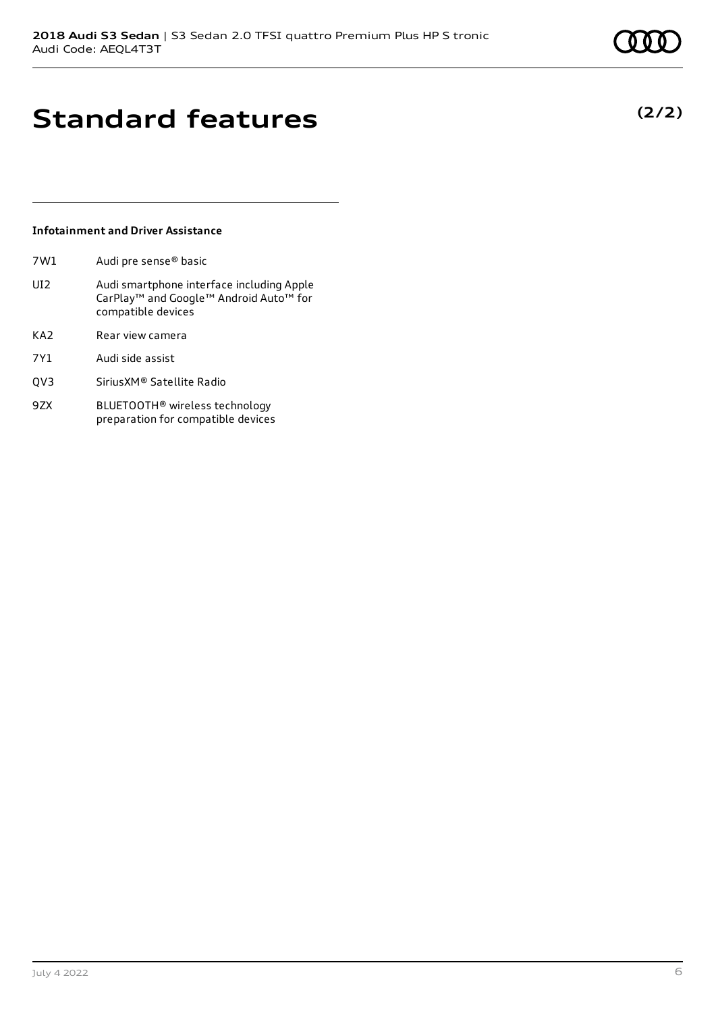## **Standard features**

## **Infotainment and Driver Assistance**

- 7W1 Audi pre sense® basic
- UI2 Audi smartphone interface including Apple CarPlay™ and Google™ Android Auto™ for compatible devices
- KA2 Rear view camera
- 7Y1 Audi side assist
- QV3 SiriusXM® Satellite Radio
- 9ZX BLUETOOTH® wireless technology preparation for compatible devices

## **(2/2)**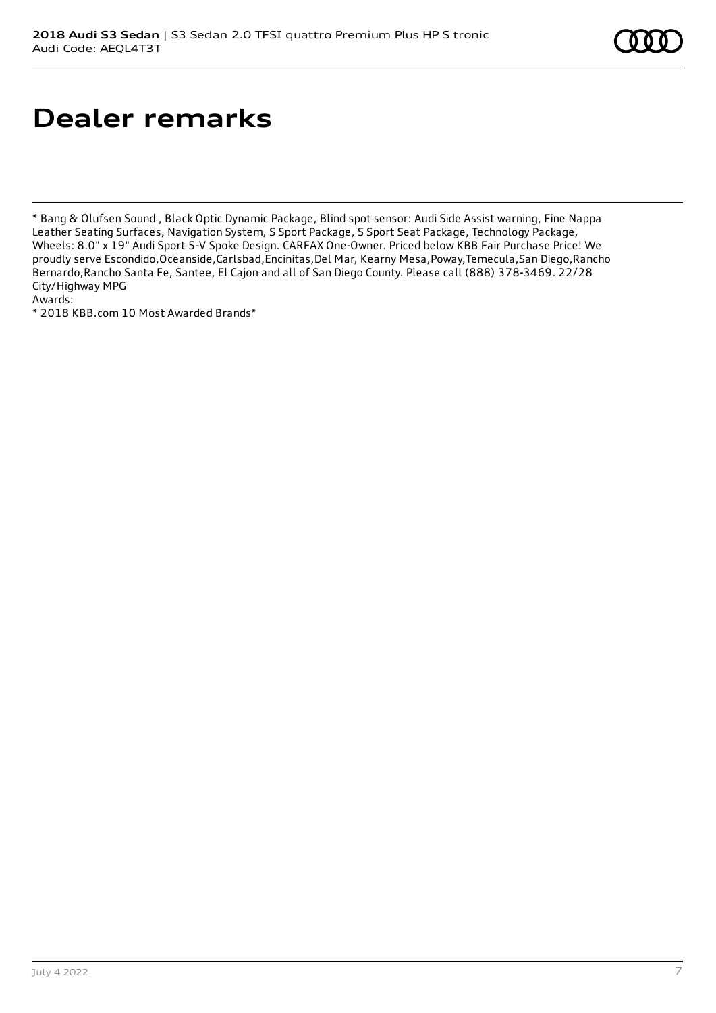## **Dealer remarks**

\* Bang & Olufsen Sound , Black Optic Dynamic Package, Blind spot sensor: Audi Side Assist warning, Fine Nappa Leather Seating Surfaces, Navigation System, S Sport Package, S Sport Seat Package, Technology Package, Wheels: 8.0" x 19" Audi Sport 5-V Spoke Design. CARFAX One-Owner. Priced below KBB Fair Purchase Price! We proudly serve Escondido,Oceanside,Carlsbad,Encinitas,Del Mar, Kearny Mesa,Poway,Temecula,San Diego,Rancho Bernardo,Rancho Santa Fe, Santee, El Cajon and all of San Diego County. Please call (888) 378-3469. 22/28 City/Highway MPG

Awards:

\* 2018 KBB.com 10 Most Awarded Brands\*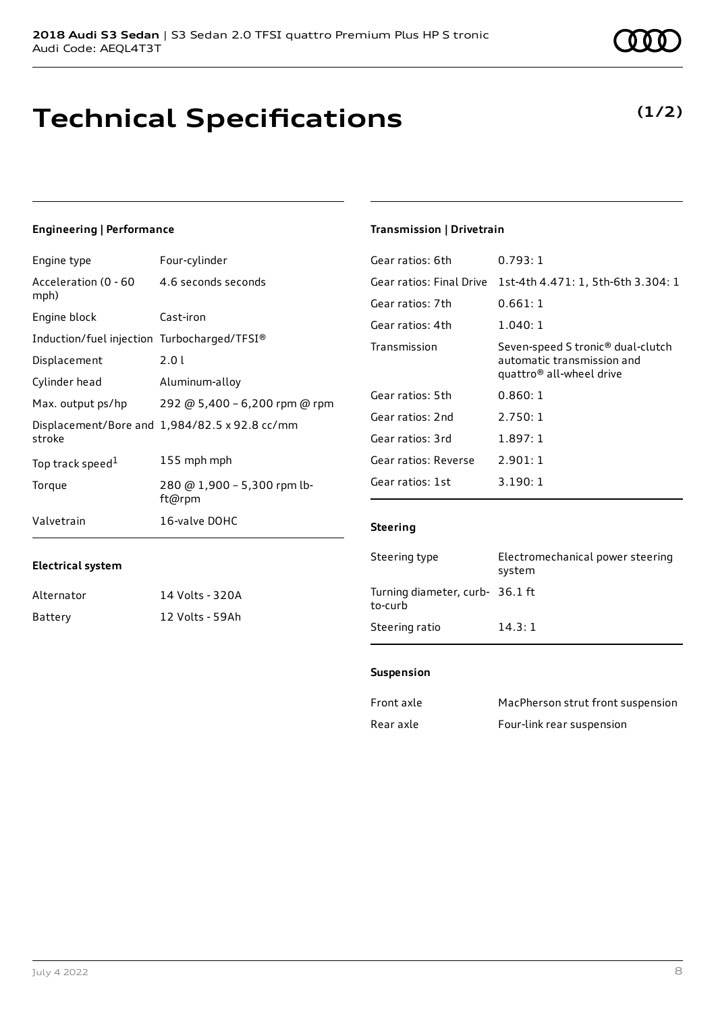## **Technical Specifications**

### **Engineering | Performance**

| Engine type                                 | Four-cylinder                                 |
|---------------------------------------------|-----------------------------------------------|
| Acceleration (0 - 60<br>mph)                | 4.6 seconds seconds                           |
| Engine block                                | Cast-iron                                     |
| Induction/fuel injection Turbocharged/TFSI® |                                               |
| Displacement                                | 2.01                                          |
| Cylinder head                               | Aluminum-alloy                                |
| Max. output ps/hp                           | 292 @ 5,400 - 6,200 rpm @ rpm                 |
| stroke                                      | Displacement/Bore and 1,984/82.5 x 92.8 cc/mm |
| Top track speed <sup>1</sup>                | 155 mph mph                                   |
| Torque                                      | 280 @ 1,900 - 5,300 rpm lb-<br>ft@rpm         |
| Valvetrain                                  | 16-valve DOHC                                 |

### **Transmission | Drivetrain**

| Gear ratios: 6th         | 0.793:1                                                                                                             |
|--------------------------|---------------------------------------------------------------------------------------------------------------------|
| Gear ratios: Final Drive | 1st-4th 4.471: 1, 5th-6th 3.304: 1                                                                                  |
| Gear ratios: 7th         | 0.661:1                                                                                                             |
| Gear ratios: 4th         | 1.040:1                                                                                                             |
| Transmission             | Seven-speed S tronic <sup>®</sup> dual-clutch<br>automatic transmission and<br>quattro <sup>®</sup> all-wheel drive |
| Gear ratios: 5th         | 0.860:1                                                                                                             |
| Gear ratios: 2nd         | 2.750:1                                                                                                             |
| Gear ratios: 3rd         | 1.897:1                                                                                                             |
| Gear ratios: Reverse     | 2.901:1                                                                                                             |
| Gear ratios: 1st         | 3.190:1                                                                                                             |
|                          |                                                                                                                     |

### **Steering**

| Steering type                              | Electromechanical power steering<br>system |
|--------------------------------------------|--------------------------------------------|
| Turning diameter, curb- 36.1 ft<br>to-curb |                                            |
| Steering ratio                             | 14.3:1                                     |

### **Suspension**

| Front axle | MacPherson strut front suspension |
|------------|-----------------------------------|
| Rear axle  | Four-link rear suspension         |

| Electrical system |                 |
|-------------------|-----------------|
| Alternator        | 14 Volts - 320A |

Alternator 14 Volts - 320A Battery 12 Volts - 59Ah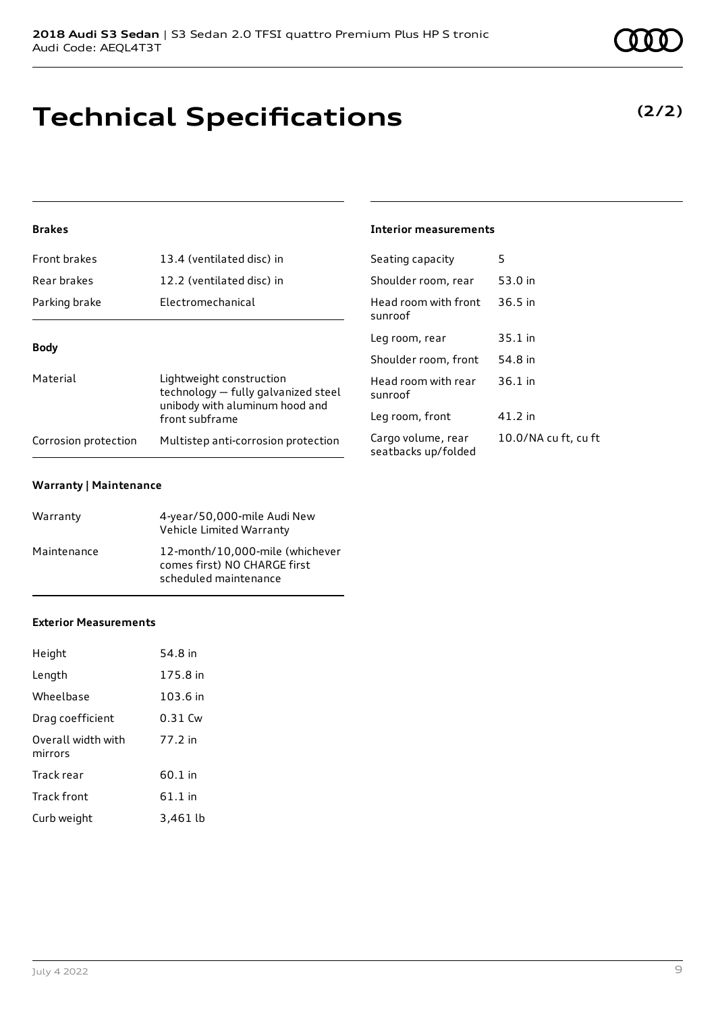**Warranty | Maintenance**

## **Exterior Measurements**

| Length                        | 175.8 in |
|-------------------------------|----------|
| Wheelbase                     | 103.6 in |
| Drag coefficient              | 0.31 Cw  |
| Overall width with<br>mirrors | 77 2 in  |
| Track rear                    | 60.1 in  |
| <b>Track front</b>            | 61.1 in  |
| Curb weight                   | 3,461 lb |
|                               |          |

## **Technical Specifications**

## **Brakes**

| Front brakes         | 13.4 (ventilated disc) in                                                                         | Seat        |
|----------------------|---------------------------------------------------------------------------------------------------|-------------|
| Rear brakes          | 12.2 (ventilated disc) in                                                                         | Shor        |
| Parking brake        | Electromechanical                                                                                 | Hea<br>sunr |
| <b>Body</b>          |                                                                                                   | Leg         |
|                      |                                                                                                   | Shor        |
| Material             | Lightweight construction<br>technology - fully galvanized steel<br>unibody with aluminum hood and | Hea<br>sunr |
|                      | front subframe                                                                                    | Leg         |
| Corrosion protection | Multistep anti-corrosion protection                                                               | Card        |

Vehicle Limited Warranty

comes first) NO CHARGE first scheduled maintenance

Warranty 4-year/50,000-mile Audi New

Maintenance 12-month/10,000-mile (whichever

## **Interior measurements**

| Seating capacity                          | 5                    |
|-------------------------------------------|----------------------|
| Shoulder room, rear                       | 53.0 in              |
| Head room with front<br>sunroof           | $36.5$ in            |
| Leg room, rear                            | $35.1$ in            |
| Shoulder room, front                      | 54.8 in              |
| Head room with rear<br>sunroof            | $36.1$ in            |
| Leg room, front                           | 41.2 in              |
| Cargo volume, rear<br>seatbacks up/folded | 10.0/NA cu ft, cu ft |





## **(2/2)**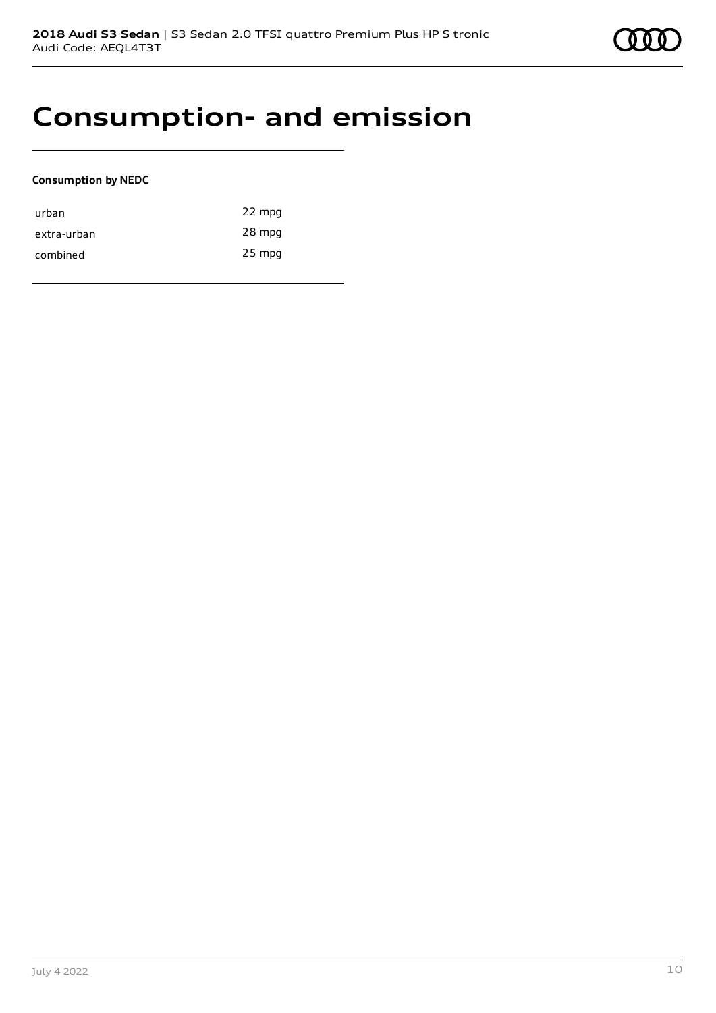## **Consumption- and emission**

### **Consumption by NEDC**

| urban       | 22 mpg   |
|-------------|----------|
| extra-urban | 28 mpg   |
| combined    | $25$ mpg |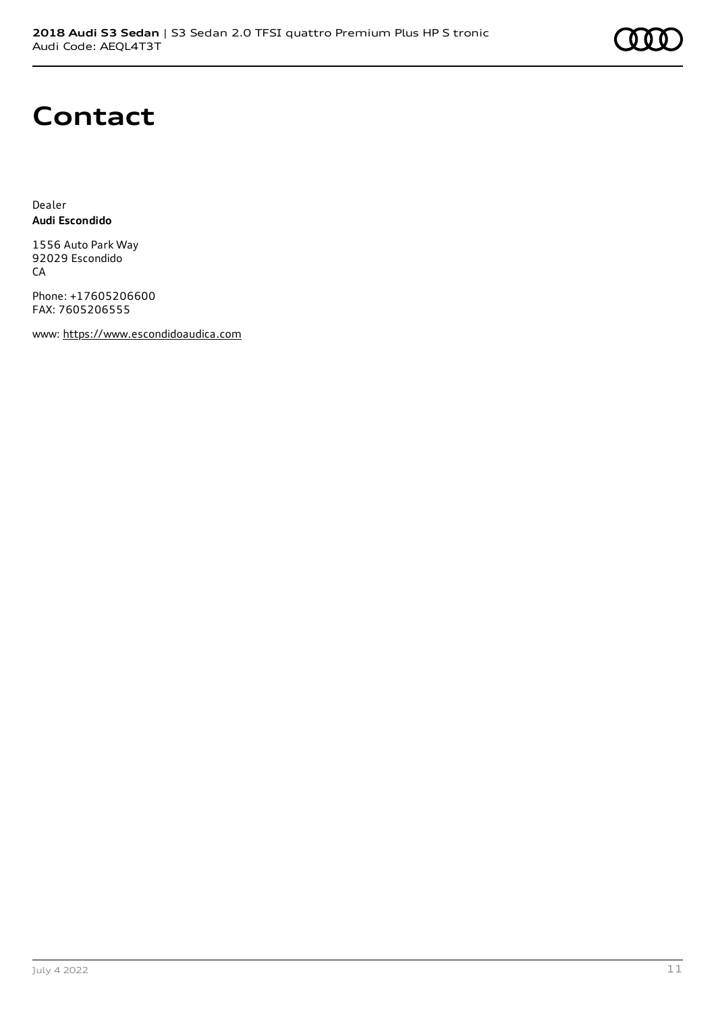

## **Contact**

Dealer **Audi Escondido**

1556 Auto Park Way 92029 Escondido **CA** 

Phone: +17605206600 FAX: 7605206555

www: [https://www.escondidoaudica.com](https://www.escondidoaudica.com/)